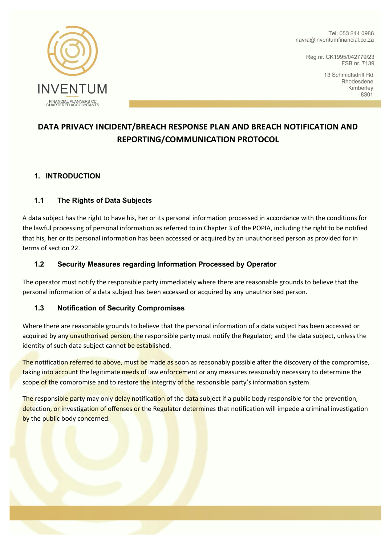

Tel: 053 244 0986 navra@inventumfinancial.co.za

> Reg nr. CK1995/042779/23 FSB nr. 7139

> > 13 Schmidtsdrift Rd Rhodesdene Kimberley 8301

# **DATA PRIVACY INCIDENT/BREACH RESPONSE PLAN AND BREACH NOTIFICATION AND REPORTING/COMMUNICATION PROTOCOL**

### **1. INTRODUCTION**

### **1.1 The Rights of Data Subjects**

A data subject has the right to have his, her or its personal information processed in accordance with the conditions for the lawful processing of personal information as referred to in Chapter 3 of the POPIA, including the right to be notified that his, her or its personal information has been accessed or acquired by an unauthorised person as provided for in terms of section 22.

### **1.2 Security Measures regarding Information Processed by Operator**

The operator must notify the responsible party immediately where there are reasonable grounds to believe that the personal information of a data subject has been accessed or acquired by any unauthorised person.

### **1.3 Notification of Security Compromises**

Where there are reasonable grounds to believe that the personal information of a data subject has been accessed or acquired by any unauthorised person, the responsible party must notify the Regulator; and the data subject, unless the identity of such data subject cannot be established.

The notification referred to above, must be made as soon as reasonably possible after the discovery of the compromise, taking into account the legitimate needs of law enforcement or any measures reasonably necessary to determine the scope of the compromise and to restore the integrity of the responsible party's information system.

The responsible party may only delay notification of the data subject if a public body responsible for the prevention, detection, or investigation of offenses or the Regulator determines that notification will impede a criminal investigation by the public body concerned.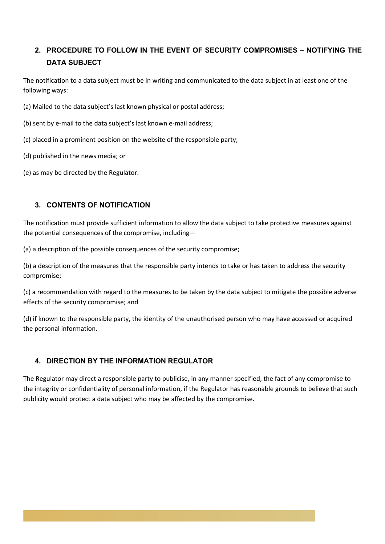## **2. PROCEDURE TO FOLLOW IN THE EVENT OF SECURITY COMPROMISES – NOTIFYING THE DATA SUBJECT**

The notification to a data subject must be in writing and communicated to the data subject in at least one of the following ways:

(a) Mailed to the data subject's last known physical or postal address;

(b) sent by e-mail to the data subject's last known e-mail address;

- (c) placed in a prominent position on the website of the responsible party;
- (d) published in the news media; or
- (e) as may be directed by the Regulator.

### **3. CONTENTS OF NOTIFICATION**

The notification must provide sufficient information to allow the data subject to take protective measures against the potential consequences of the compromise, including—

(a) a description of the possible consequences of the security compromise;

(b) a description of the measures that the responsible party intends to take or has taken to address the security compromise;

(c) a recommendation with regard to the measures to be taken by the data subject to mitigate the possible adverse effects of the security compromise; and

(d) if known to the responsible party, the identity of the unauthorised person who may have accessed or acquired the personal information.

### **4. DIRECTION BY THE INFORMATION REGULATOR**

The Regulator may direct a responsible party to publicise, in any manner specified, the fact of any compromise to the integrity or confidentiality of personal information, if the Regulator has reasonable grounds to believe that such publicity would protect a data subject who may be affected by the compromise.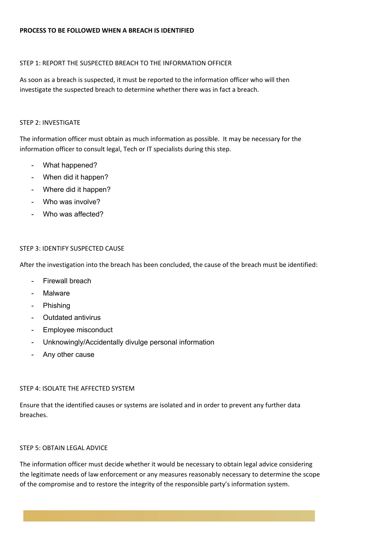#### STEP 1: REPORT THE SUSPECTED BREACH TO THE INFORMATION OFFICER

As soon as a breach is suspected, it must be reported to the information officer who will then investigate the suspected breach to determine whether there was in fact a breach.

#### STEP 2: INVESTIGATE

The information officer must obtain as much information as possible. It may be necessary for the information officer to consult legal, Tech or IT specialists during this step.

- What happened?
- When did it happen?
- Where did it happen?
- Who was involve?
- Who was affected?

#### STEP 3: IDENTIFY SUSPECTED CAUSE

After the investigation into the breach has been concluded, the cause of the breach must be identified:

- Firewall breach
- **Malware**
- Phishing
- Outdated antivirus
- Employee misconduct
- Unknowingly/Accidentally divulge personal information
- Any other cause

#### STEP 4: ISOLATE THE AFFECTED SYSTEM

Ensure that the identified causes or systems are isolated and in order to prevent any further data breaches.

#### STEP 5: OBTAIN LEGAL ADVICE

The information officer must decide whether it would be necessary to obtain legal advice considering the legitimate needs of law enforcement or any measures reasonably necessary to determine the scope of the compromise and to restore the integrity of the responsible party's information system.